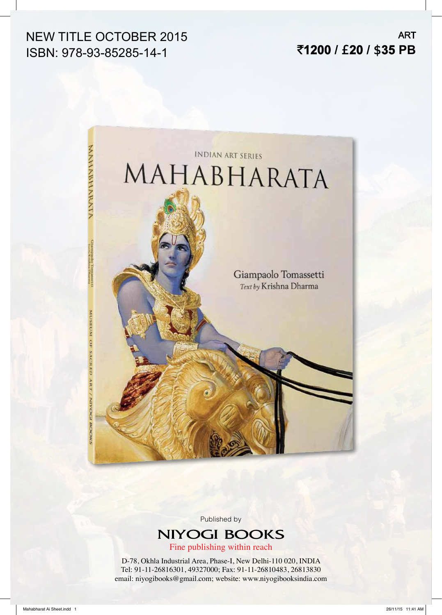## NEW TITLE OCTOBER 2015 ISBN: 978-93-85285-14-1

ART `**1200 /** £**20 /** \$**35 PB**



Published by

# **NIYOGI BOOKS**

Fine publishing within reach

D-78, Okhla Industrial Area, Phase-I, New Delhi-110 020, INDIA Tel: 91-11-26816301, 49327000; Fax: 91-11-26810483, 26813830 email: niyogibooks@gmail.com; website: www.niyogibooksindia.com